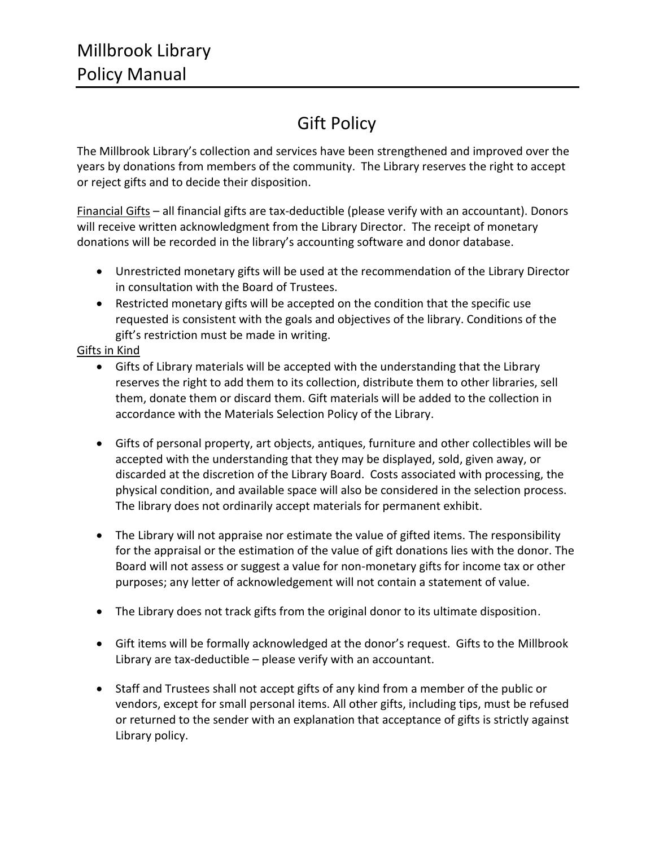## Gift Policy

The Millbrook Library's collection and services have been strengthened and improved over the years by donations from members of the community. The Library reserves the right to accept or reject gifts and to decide their disposition.

Financial Gifts - all financial gifts are tax-deductible (please verify with an accountant). Donors will receive written acknowledgment from the Library Director. The receipt of monetary donations will be recorded in the library's accounting software and donor database.

- Unrestricted monetary gifts will be used at the recommendation of the Library Director in consultation with the Board of Trustees.
- Restricted monetary gifts will be accepted on the condition that the specific use requested is consistent with the goals and objectives of the library. Conditions of the gift's restriction must be made in writing.

## Gifts in Kind

- Gifts of Library materials will be accepted with the understanding that the Library reserves the right to add them to its collection, distribute them to other libraries, sell them, donate them or discard them. Gift materials will be added to the collection in accordance with the Materials Selection Policy of the Library.
- Gifts of personal property, art objects, antiques, furniture and other collectibles will be accepted with the understanding that they may be displayed, sold, given away, or discarded at the discretion of the Library Board. Costs associated with processing, the physical condition, and available space will also be considered in the selection process. The library does not ordinarily accept materials for permanent exhibit.
- The Library will not appraise nor estimate the value of gifted items. The responsibility for the appraisal or the estimation of the value of gift donations lies with the donor. The Board will not assess or suggest a value for non-monetary gifts for income tax or other purposes; any letter of acknowledgement will not contain a statement of value.
- The Library does not track gifts from the original donor to its ultimate disposition.
- Gift items will be formally acknowledged at the donor's request. Gifts to the Millbrook Library are tax-deductible – please verify with an accountant.
- Staff and Trustees shall not accept gifts of any kind from a member of the public or vendors, except for small personal items. All other gifts, including tips, must be refused or returned to the sender with an explanation that acceptance of gifts is strictly against Library policy.